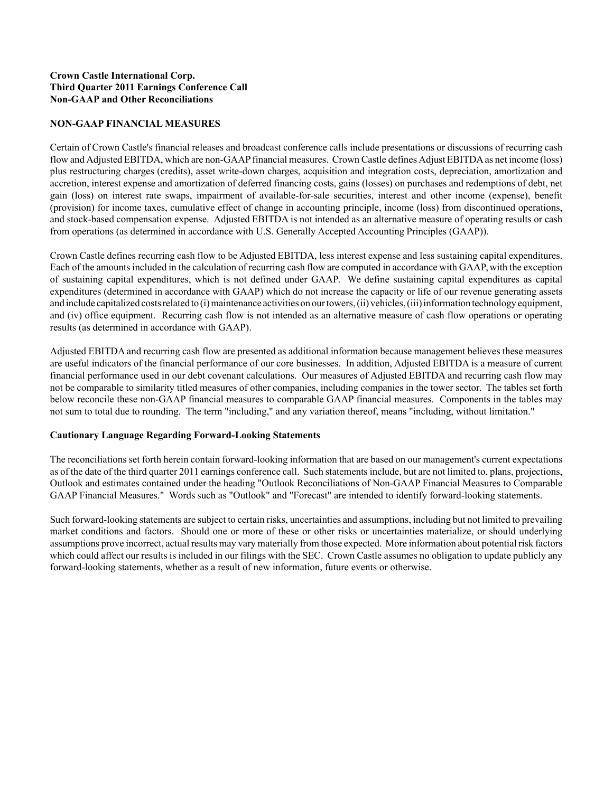# **Crown Castle International Corp. Third Quarter 2011 Earnings Conference Call Non-GAAP and Other Reconciliations**

# **NON-GAAP FINANCIAL MEASURES**

Certain of Crown Castle's financial releases and broadcast conference calls include presentations or discussions of recurring cash flow and Adjusted EBITDA, which are non-GAAP financial measures. Crown Castle defines Adjust EBITDA as net income (loss) plus restructuring charges (credits), asset write-down charges, acquisition and integration costs, depreciation, amortization and accretion, interest expense and amortization of deferred financing costs, gains (losses) on purchases and redemptions of debt, net gain (loss) on interest rate swaps, impairment of available-for-sale securities, interest and other income (expense), benefit (provision) for income taxes, cumulative effect of change in accounting principle, income (loss) from discontinued operations, and stock-based compensation expense. Adjusted EBITDA is not intended as an alternative measure of operating results or cash from operations (as determined in accordance with U.S. Generally Accepted Accounting Principles (GAAP)).

Crown Castle defines recurring cash flow to be Adjusted EBITDA, less interest expense and less sustaining capital expenditures. Each of the amounts included in the calculation of recurring cash flow are computed in accordance with GAAP, with the exception of sustaining capital expenditures, which is not defined under GAAP. We define sustaining capital expenditures as capital expenditures (determined in accordance with GAAP) which do not increase the capacity or life of our revenue generating assets and include capitalized costs related to (i) maintenance activities on our towers, (ii) vehicles, (iii) information technology equipment, and (iv) office equipment. Recurring cash flow is not intended as an alternative measure of cash flow operations or operating results (as determined in accordance with GAAP).

Adjusted EBITDA and recurring cash flow are presented as additional information because management believes these measures are useful indicators of the financial performance of our core businesses. In addition, Adjusted EBITDA is a measure of current financial performance used in our debt covenant calculations. Our measures of Adjusted EBITDA and recurring cash flow may not be comparable to similarity titled measures of other companies, including companies in the tower sector. The tables set forth below reconcile these non-GAAP financial measures to comparable GAAP financial measures. Components in the tables may not sum to total due to rounding. The term "including," and any variation thereof, means "including, without limitation."

### **Cautionary Language Regarding Forward-Looking Statements**

The reconciliations set forth herein contain forward-looking information that are based on our management's current expectations as of the date of the third quarter 2011 earnings conference call. Such statements include, but are not limited to, plans, projections, Outlook and estimates contained under the heading "Outlook Reconciliations of Non-GAAP Financial Measures to Comparable GAAP Financial Measures." Words such as "Outlook" and "Forecast" are intended to identify forward-looking statements.

Such forward-looking statements are subject to certain risks, uncertainties and assumptions, including but not limited to prevailing market conditions and factors. Should one or more of these or other risks or uncertainties materialize, or should underlying assumptions prove incorrect, actual results may vary materially from those expected. More information about potential risk factors which could affect our results is included in our filings with the SEC. Crown Castle assumes no obligation to update publicly any forward-looking statements, whether as a result of new information, future events or otherwise.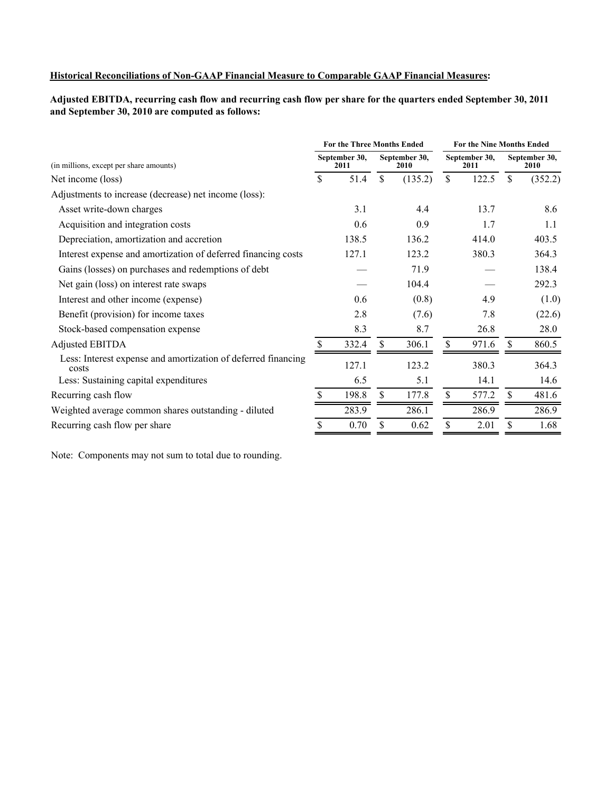# **Historical Reconciliations of Non-GAAP Financial Measure to Comparable GAAP Financial Measures:**

### **Adjusted EBITDA, recurring cash flow and recurring cash flow per share for the quarters ended September 30, 2011 and September 30, 2010 are computed as follows:**

|                                                                        | <b>For the Three Months Ended</b> |                       |    |                       | <b>For the Nine Months Ended</b> |                       |              |                       |  |
|------------------------------------------------------------------------|-----------------------------------|-----------------------|----|-----------------------|----------------------------------|-----------------------|--------------|-----------------------|--|
| (in millions, except per share amounts)                                |                                   | September 30,<br>2011 |    | September 30,<br>2010 |                                  | September 30,<br>2011 |              | September 30,<br>2010 |  |
| Net income (loss)                                                      | \$                                | 51.4                  | \$ | (135.2)               | \$                               | 122.5                 | $\mathbb{S}$ | (352.2)               |  |
| Adjustments to increase (decrease) net income (loss):                  |                                   |                       |    |                       |                                  |                       |              |                       |  |
| Asset write-down charges                                               |                                   | 3.1                   |    | 4.4                   |                                  | 13.7                  |              | 8.6                   |  |
| Acquisition and integration costs                                      |                                   | 0.6                   |    | 0.9                   |                                  | 1.7                   |              | 1.1                   |  |
| Depreciation, amortization and accretion                               |                                   | 138.5                 |    | 136.2                 |                                  | 414.0                 |              | 403.5                 |  |
| Interest expense and amortization of deferred financing costs          |                                   | 127.1                 |    | 123.2                 |                                  | 380.3                 |              | 364.3                 |  |
| Gains (losses) on purchases and redemptions of debt                    |                                   |                       |    | 71.9                  |                                  |                       |              | 138.4                 |  |
| Net gain (loss) on interest rate swaps                                 |                                   |                       |    | 104.4                 |                                  |                       |              | 292.3                 |  |
| Interest and other income (expense)                                    |                                   | 0.6                   |    | (0.8)                 |                                  | 4.9                   |              | (1.0)                 |  |
| Benefit (provision) for income taxes                                   |                                   | 2.8                   |    | (7.6)                 |                                  | 7.8                   |              | (22.6)                |  |
| Stock-based compensation expense                                       |                                   | 8.3                   |    | 8.7                   |                                  | 26.8                  |              | 28.0                  |  |
| Adjusted EBITDA                                                        |                                   | 332.4                 | \$ | 306.1                 | \$                               | 971.6                 | \$           | 860.5                 |  |
| Less: Interest expense and amortization of deferred financing<br>costs |                                   | 127.1                 |    | 123.2                 |                                  | 380.3                 |              | 364.3                 |  |
| Less: Sustaining capital expenditures                                  |                                   | 6.5                   |    | 5.1                   |                                  | 14.1                  |              | 14.6                  |  |
| Recurring cash flow                                                    | S                                 | 198.8                 | \$ | 177.8                 | \$                               | 577.2                 | S            | 481.6                 |  |
| Weighted average common shares outstanding - diluted                   |                                   | 283.9                 |    | 286.1                 |                                  | 286.9                 |              | 286.9                 |  |
| Recurring cash flow per share                                          |                                   | 0.70                  |    | 0.62                  | \$                               | 2.01                  | S            | 1.68                  |  |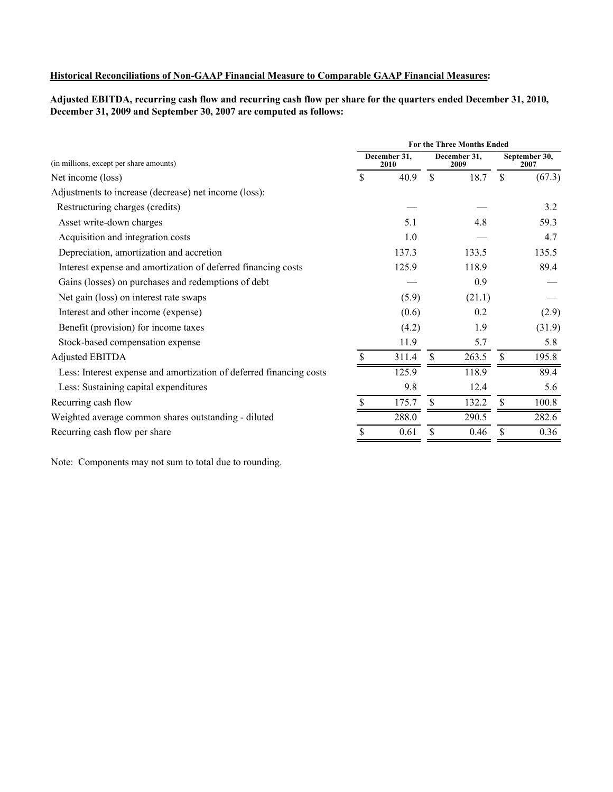# **Historical Reconciliations of Non-GAAP Financial Measure to Comparable GAAP Financial Measures:**

**Adjusted EBITDA, recurring cash flow and recurring cash flow per share for the quarters ended December 31, 2010, December 31, 2009 and September 30, 2007 are computed as follows:**

|                                                                     | For the Three Months Ended |       |                      |        |    |                       |  |  |  |
|---------------------------------------------------------------------|----------------------------|-------|----------------------|--------|----|-----------------------|--|--|--|
| (in millions, except per share amounts)                             | December 31,<br>2010       |       | December 31,<br>2009 |        |    | September 30,<br>2007 |  |  |  |
| Net income (loss)                                                   | \$                         | 40.9  | $\mathcal{S}$        | 18.7   | \$ | (67.3)                |  |  |  |
| Adjustments to increase (decrease) net income (loss):               |                            |       |                      |        |    |                       |  |  |  |
| Restructuring charges (credits)                                     |                            |       |                      |        |    | 3.2                   |  |  |  |
| Asset write-down charges                                            |                            | 5.1   |                      | 4.8    |    | 59.3                  |  |  |  |
| Acquisition and integration costs                                   |                            | 1.0   |                      |        |    | 4.7                   |  |  |  |
| Depreciation, amortization and accretion                            |                            | 137.3 |                      | 133.5  |    | 135.5                 |  |  |  |
| Interest expense and amortization of deferred financing costs       |                            | 125.9 |                      | 118.9  |    | 89.4                  |  |  |  |
| Gains (losses) on purchases and redemptions of debt                 |                            |       |                      | 0.9    |    |                       |  |  |  |
| Net gain (loss) on interest rate swaps                              |                            | (5.9) |                      | (21.1) |    |                       |  |  |  |
| Interest and other income (expense)                                 |                            | (0.6) |                      | 0.2    |    | (2.9)                 |  |  |  |
| Benefit (provision) for income taxes                                |                            | (4.2) |                      | 1.9    |    | (31.9)                |  |  |  |
| Stock-based compensation expense                                    |                            | 11.9  |                      | 5.7    |    | 5.8                   |  |  |  |
| <b>Adjusted EBITDA</b>                                              |                            | 311.4 | \$                   | 263.5  | \$ | 195.8                 |  |  |  |
| Less: Interest expense and amortization of deferred financing costs |                            | 125.9 |                      | 118.9  |    | 89.4                  |  |  |  |
| Less: Sustaining capital expenditures                               |                            | 9.8   |                      | 12.4   |    | 5.6                   |  |  |  |
| Recurring cash flow                                                 | S.                         | 175.7 | \$                   | 132.2  | \$ | 100.8                 |  |  |  |
| Weighted average common shares outstanding - diluted                |                            | 288.0 |                      | 290.5  |    | 282.6                 |  |  |  |
| Recurring cash flow per share                                       |                            | 0.61  |                      | 0.46   |    | 0.36                  |  |  |  |
|                                                                     |                            |       |                      |        |    |                       |  |  |  |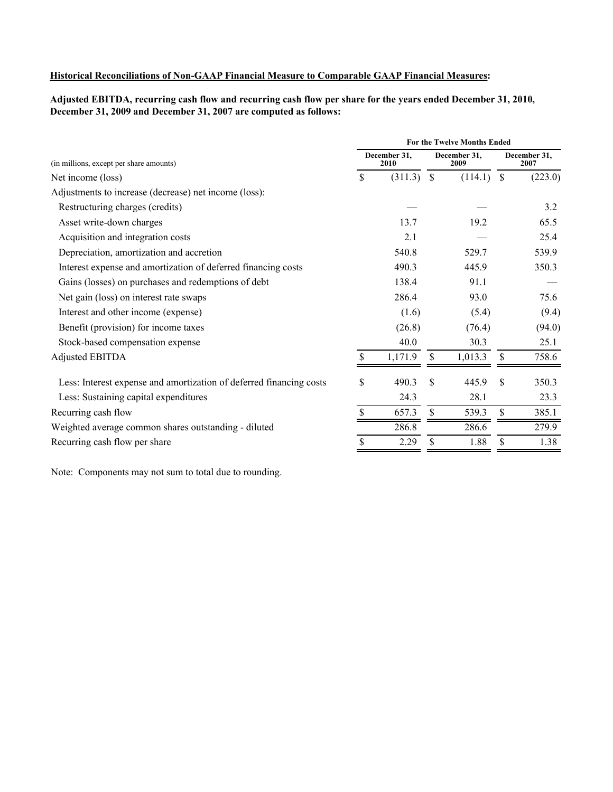# **Historical Reconciliations of Non-GAAP Financial Measure to Comparable GAAP Financial Measures:**

**Adjusted EBITDA, recurring cash flow and recurring cash flow per share for the years ended December 31, 2010, December 31, 2009 and December 31, 2007 are computed as follows:**

|                                                                     | <b>For the Twelve Months Ended</b> |                      |               |                      |               |                      |  |  |  |
|---------------------------------------------------------------------|------------------------------------|----------------------|---------------|----------------------|---------------|----------------------|--|--|--|
| (in millions, except per share amounts)                             |                                    | December 31,<br>2010 |               | December 31,<br>2009 |               | December 31,<br>2007 |  |  |  |
| Net income (loss)                                                   | $\mathbf{\hat{S}}$                 | $(311.3)$ \$         |               | (114.1)              | $\mathbb{S}$  | (223.0)              |  |  |  |
| Adjustments to increase (decrease) net income (loss):               |                                    |                      |               |                      |               |                      |  |  |  |
| Restructuring charges (credits)                                     |                                    |                      |               |                      |               | 3.2                  |  |  |  |
| Asset write-down charges                                            |                                    | 13.7                 |               | 19.2                 |               | 65.5                 |  |  |  |
| Acquisition and integration costs                                   |                                    | 2.1                  |               |                      |               | 25.4                 |  |  |  |
| Depreciation, amortization and accretion                            |                                    | 540.8                |               | 529.7                |               | 539.9                |  |  |  |
| Interest expense and amortization of deferred financing costs       |                                    | 490.3                |               | 445.9                |               | 350.3                |  |  |  |
| Gains (losses) on purchases and redemptions of debt                 |                                    | 138.4                |               | 91.1                 |               |                      |  |  |  |
| Net gain (loss) on interest rate swaps                              |                                    | 286.4                |               | 93.0                 |               | 75.6                 |  |  |  |
| Interest and other income (expense)                                 |                                    | (1.6)                |               | (5.4)                |               | (9.4)                |  |  |  |
| Benefit (provision) for income taxes                                |                                    | (26.8)               |               | (76.4)               |               | (94.0)               |  |  |  |
| Stock-based compensation expense                                    |                                    | 40.0                 |               | 30.3                 |               | 25.1                 |  |  |  |
| <b>Adjusted EBITDA</b>                                              | \$.                                | 1,171.9              | \$            | 1,013.3              | \$            | 758.6                |  |  |  |
| Less: Interest expense and amortization of deferred financing costs | \$                                 | 490.3                | \$.           | 445.9                | <sup>\$</sup> | 350.3                |  |  |  |
| Less: Sustaining capital expenditures                               |                                    | 24.3                 |               | 28.1                 |               | 23.3                 |  |  |  |
| Recurring cash flow                                                 | <sup>\$</sup>                      | 657.3                | <sup>\$</sup> | 539.3                | \$            | 385.1                |  |  |  |
| Weighted average common shares outstanding - diluted                |                                    | 286.8                |               | 286.6                |               | 279.9                |  |  |  |
| Recurring cash flow per share                                       |                                    | 2.29                 |               | 1.88                 |               | 1.38                 |  |  |  |
|                                                                     |                                    |                      |               |                      |               |                      |  |  |  |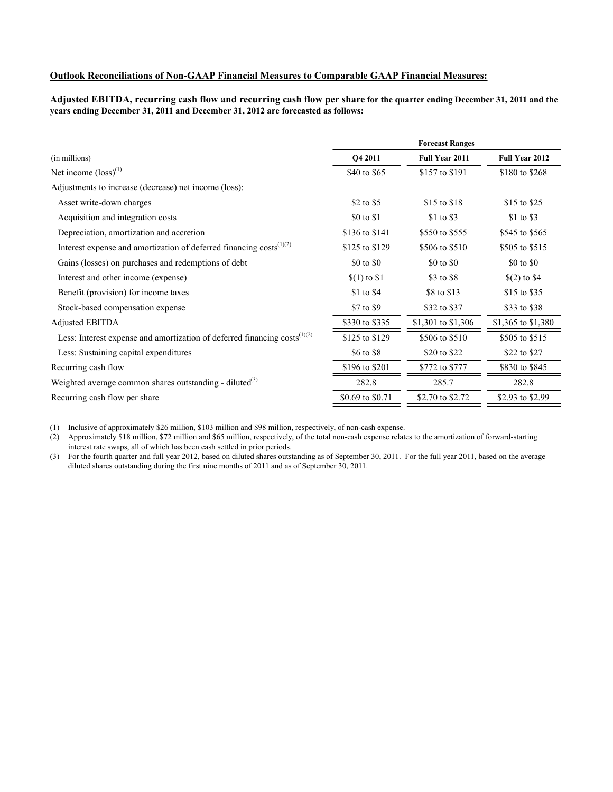#### **Outlook Reconciliations of Non-GAAP Financial Measures to Comparable GAAP Financial Measures:**

### **Adjusted EBITDA, recurring cash flow and recurring cash flow per share for the quarter ending December 31, 2011 and the years ending December 31, 2011 and December 31, 2012 are forecasted as follows:**

|                                                                                |                  | <b>Forecast Ranges</b> |                    |
|--------------------------------------------------------------------------------|------------------|------------------------|--------------------|
| (in millions)                                                                  | Q4 2011          | Full Year 2011         | Full Year 2012     |
| Net income $(\text{loss})^{(1)}$                                               | \$40 to \$65     | \$157 to \$191         | \$180 to \$268     |
| Adjustments to increase (decrease) net income (loss):                          |                  |                        |                    |
| Asset write-down charges                                                       | \$2 to \$5       | \$15 to \$18           | \$15 to \$25       |
| Acquisition and integration costs                                              | \$0 to \$1       | \$1 to \$3             | \$1 to \$3         |
| Depreciation, amortization and accretion                                       | \$136 to \$141   | \$550 to \$555         | \$545 to \$565     |
| Interest expense and amortization of deferred financing $costs^{(1)(2)}$       | \$125 to \$129   | \$506 to \$510         | \$505 to \$515     |
| Gains (losses) on purchases and redemptions of debt                            | \$0 to \$0       | \$0 to \$0             | \$0 to \$0         |
| Interest and other income (expense)                                            | $(1)$ to \$1     | \$3 to \$8             | $(2)$ to \$4       |
| Benefit (provision) for income taxes                                           | \$1 to \$4       | \$8 to \$13            | \$15 to \$35       |
| Stock-based compensation expense                                               | \$7 to \$9       | \$32 to \$37           | \$33 to \$38       |
| Adjusted EBITDA                                                                | \$330 to \$335   | \$1,301 to \$1,306     | \$1,365 to \$1,380 |
| Less: Interest expense and amortization of deferred financing $costs^{(1)(2)}$ | \$125 to \$129   | \$506 to \$510         | \$505 to \$515     |
| Less: Sustaining capital expenditures                                          | \$6 to \$8       | \$20 to \$22           | \$22 to \$27       |
| Recurring cash flow                                                            | \$196 to \$201   | \$772 to \$777         | \$830 to \$845     |
| Weighted average common shares outstanding - diluted $(3)$                     | 282.8            | 285.7                  | 282.8              |
| Recurring cash flow per share                                                  | \$0.69 to \$0.71 | \$2.70 to \$2.72       | \$2.93 to \$2.99   |

(1) Inclusive of approximately \$26 million, \$103 million and \$98 million, respectively, of non-cash expense.

(2) Approximately \$18 million, \$72 million and \$65 million, respectively, of the total non-cash expense relates to the amortization of forward-starting interest rate swaps, all of which has been cash settled in prior periods.

(3) For the fourth quarter and full year 2012, based on diluted shares outstanding as of September 30, 2011. For the full year 2011, based on the average diluted shares outstanding during the first nine months of 2011 and as of September 30, 2011.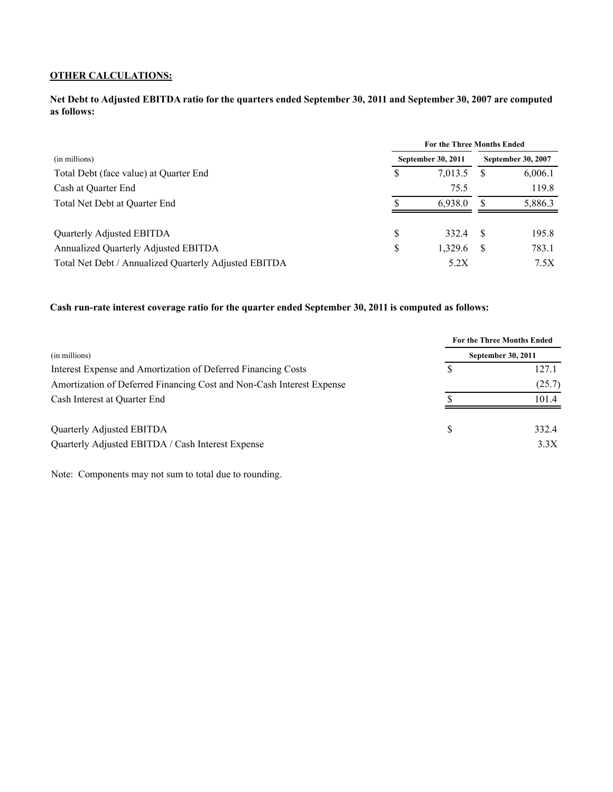# **OTHER CALCULATIONS:**

**Net Debt to Adjusted EBITDA ratio for the quarters ended September 30, 2011 and September 30, 2007 are computed as follows:**

|                                                       | <b>For the Three Months Ended</b> |         |    |                           |  |  |  |
|-------------------------------------------------------|-----------------------------------|---------|----|---------------------------|--|--|--|
| (in millions)                                         | September 30, 2011                |         |    | <b>September 30, 2007</b> |  |  |  |
| Total Debt (face value) at Quarter End                |                                   | 7,013.5 |    | 6,006.1                   |  |  |  |
| Cash at Quarter End                                   |                                   | 75.5    |    | 119.8                     |  |  |  |
| Total Net Debt at Quarter End                         |                                   | 6.938.0 |    | 5,886.3                   |  |  |  |
|                                                       |                                   |         |    |                           |  |  |  |
| Quarterly Adjusted EBITDA                             | S                                 | 332.4   | -S | 195.8                     |  |  |  |
| Annualized Quarterly Adjusted EBITDA                  | S                                 | 1.329.6 |    | 783.1                     |  |  |  |
| Total Net Debt / Annualized Quarterly Adjusted EBITDA |                                   | 5.2X    |    | 7.5X                      |  |  |  |

# **Cash run-rate interest coverage ratio for the quarter ended September 30, 2011 is computed as follows:**

|                                                                       | <b>For the Three Months Ended</b> |                    |  |  |
|-----------------------------------------------------------------------|-----------------------------------|--------------------|--|--|
| (in millions)                                                         |                                   | September 30, 2011 |  |  |
| Interest Expense and Amortization of Deferred Financing Costs         |                                   | 127.1              |  |  |
| Amortization of Deferred Financing Cost and Non-Cash Interest Expense |                                   | (25.7)             |  |  |
| Cash Interest at Quarter End                                          |                                   | 101.4              |  |  |
| Quarterly Adjusted EBITDA                                             | S                                 | 332.4              |  |  |
| Quarterly Adjusted EBITDA / Cash Interest Expense                     |                                   | 3.3X               |  |  |